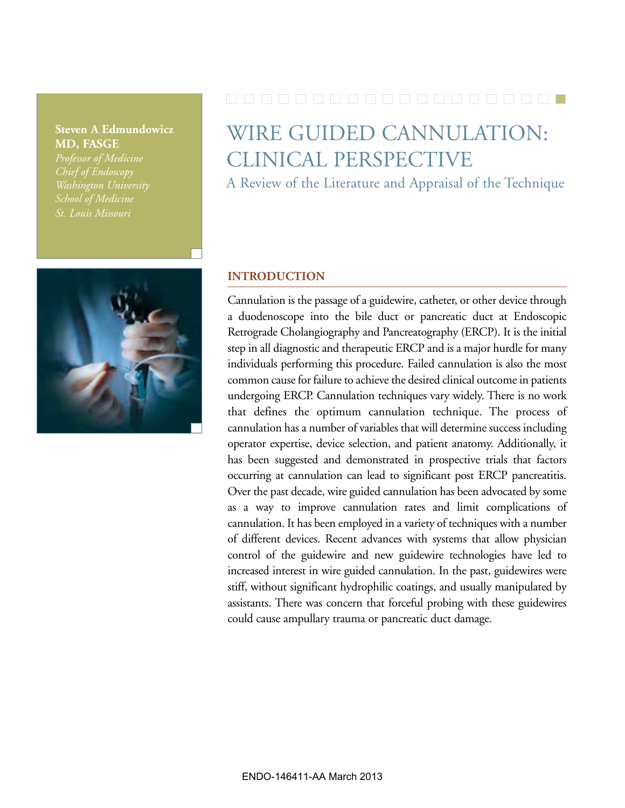### **Steven A Edmundowicz MD, FASGE**

*Professor of Medicine Washington University St. Louis Missouri*



# WIRE GUIDED CANNULATION: CLINICAL PERSPECTIVE

A Review of the Literature and Appraisal of the Technique

#### **INTRODUCTION**

Cannulation is the passage of a guidewire, catheter, or other device through a duodenoscope into the bile duct or pancreatic duct at Endoscopic Retrograde Cholangiography and Pancreatography (ERCP). It is the initial step in all diagnostic and therapeutic ERCP and is a major hurdle for many individuals performing this procedure. Failed cannulation is also the most common cause for failure to achieve the desired clinical outcome in patients undergoing ERCP. Cannulation techniques vary widely. There is no work that defines the optimum cannulation technique. The process of cannulation has a number of variables that will determine success including operator expertise, device selection, and patient anatomy. Additionally, it has been suggested and demonstrated in prospective trials that factors occurring at cannulation can lead to significant post ERCP pancreatitis. Over the past decade, wire guided cannulation has been advocated by some as a way to improve cannulation rates and limit complications of cannulation. It has been employed in a variety of techniques with a number of different devices. Recent advances with systems that allow physician control of the guidewire and new guidewire technologies have led to increased interest in wire guided cannulation. In the past, guidewires were stiff, without significant hydrophilic coatings, and usually manipulated by assistants. There was concern that forceful probing with these guidewires could cause ampullary trauma or pancreatic duct damage.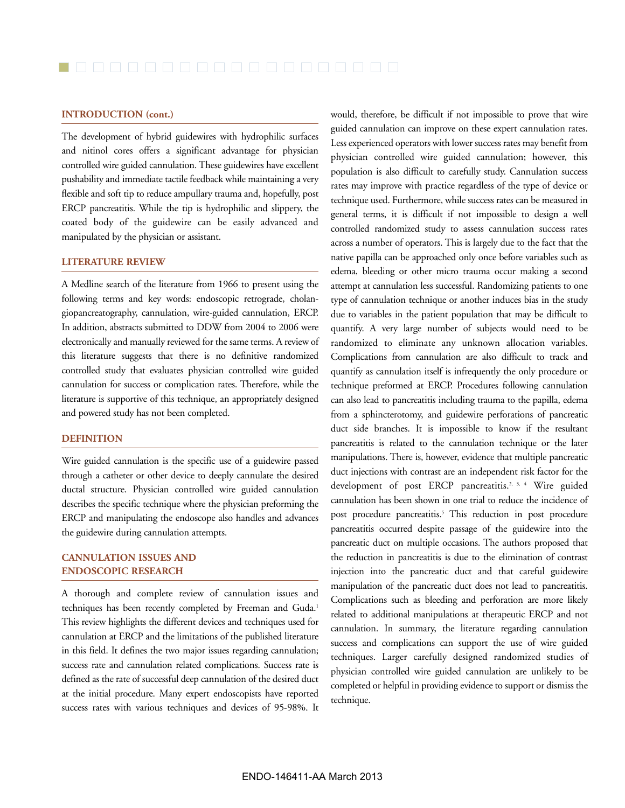#### **INTRODUCTION (cont.)**

The development of hybrid guidewires with hydrophilic surfaces and nitinol cores offers a significant advantage for physician controlled wire guided cannulation. These guidewires have excellent pushability and immediate tactile feedback while maintaining a very flexible and soft tip to reduce ampullary trauma and, hopefully, post ERCP pancreatitis. While the tip is hydrophilic and slippery, the coated body of the guidewire can be easily advanced and manipulated by the physician or assistant.

#### **LITERATURE REVIEW**

A Medline search of the literature from 1966 to present using the following terms and key words: endoscopic retrograde, cholangiopancreatography, cannulation, wire-guided cannulation, ERCP. In addition, abstracts submitted to DDW from 2004 to 2006 were electronically and manually reviewed for the same terms. A review of this literature suggests that there is no definitive randomized controlled study that evaluates physician controlled wire guided cannulation for success or complication rates. Therefore, while the literature is supportive of this technique, an appropriately designed and powered study has not been completed.

#### **DEFINITION**

Wire guided cannulation is the specific use of a guidewire passed through a catheter or other device to deeply cannulate the desired ductal structure. Physician controlled wire guided cannulation describes the specific technique where the physician preforming the ERCP and manipulating the endoscope also handles and advances the guidewire during cannulation attempts.

#### **CANNULATION ISSUES AND ENDOSCOPIC RESEARCH**

A thorough and complete review of cannulation issues and techniques has been recently completed by Freeman and Guda.<sup>1</sup> This review highlights the different devices and techniques used for cannulation at ERCP and the limitations of the published literature in this field. It defines the two major issues regarding cannulation; success rate and cannulation related complications. Success rate is defined as the rate of successful deep cannulation of the desired duct at the initial procedure. Many expert endoscopists have reported success rates with various techniques and devices of 95-98%. It would, therefore, be difficult if not impossible to prove that wire guided cannulation can improve on these expert cannulation rates. Less experienced operators with lower success rates may benefit from physician controlled wire guided cannulation; however, this population is also difficult to carefully study. Cannulation success rates may improve with practice regardless of the type of device or technique used. Furthermore, while success rates can be measured in general terms, it is difficult if not impossible to design a well controlled randomized study to assess cannulation success rates across a number of operators. This is largely due to the fact that the native papilla can be approached only once before variables such as edema, bleeding or other micro trauma occur making a second attempt at cannulation less successful. Randomizing patients to one type of cannulation technique or another induces bias in the study due to variables in the patient population that may be difficult to quantify. A very large number of subjects would need to be randomized to eliminate any unknown allocation variables. Complications from cannulation are also difficult to track and quantify as cannulation itself is infrequently the only procedure or technique preformed at ERCP. Procedures following cannulation can also lead to pancreatitis including trauma to the papilla, edema from a sphincterotomy, and guidewire perforations of pancreatic duct side branches. It is impossible to know if the resultant pancreatitis is related to the cannulation technique or the later manipulations. There is, however, evidence that multiple pancreatic duct injections with contrast are an independent risk factor for the development of post ERCP pancreatitis.<sup>2, 3, 4</sup> Wire guided cannulation has been shown in one trial to reduce the incidence of post procedure pancreatitis.<sup>5</sup> This reduction in post procedure pancreatitis occurred despite passage of the guidewire into the pancreatic duct on multiple occasions. The authors proposed that the reduction in pancreatitis is due to the elimination of contrast injection into the pancreatic duct and that careful guidewire manipulation of the pancreatic duct does not lead to pancreatitis. Complications such as bleeding and perforation are more likely related to additional manipulations at therapeutic ERCP and not cannulation. In summary, the literature regarding cannulation success and complications can support the use of wire guided techniques. Larger carefully designed randomized studies of physician controlled wire guided cannulation are unlikely to be completed or helpful in providing evidence to support or dismiss the technique.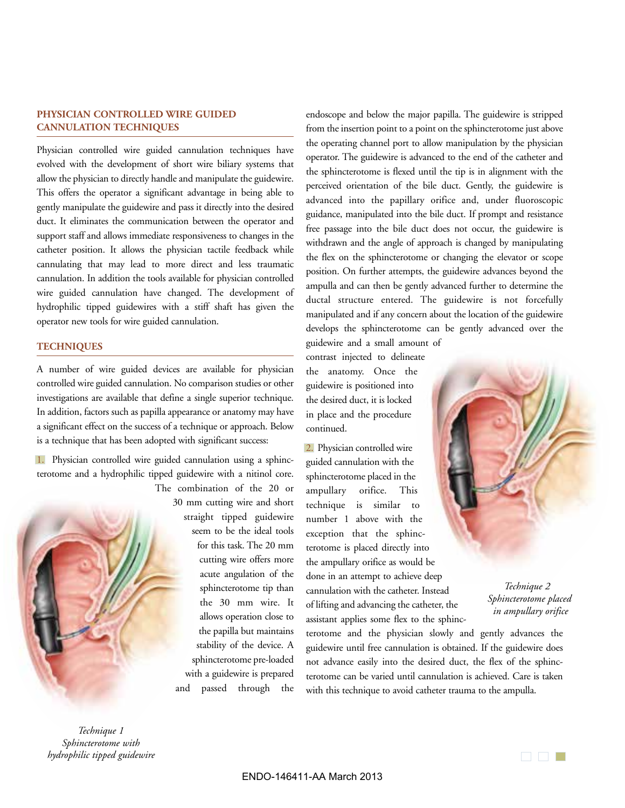#### **PHYSICIAN CONTROLLED WIRE GUIDED CANNULATION TECHNIQUES**

Physician controlled wire guided cannulation techniques have evolved with the development of short wire biliary systems that allow the physician to directly handle and manipulate the guidewire. This offers the operator a significant advantage in being able to gently manipulate the guidewire and pass it directly into the desired duct. It eliminates the communication between the operator and support staff and allows immediate responsiveness to changes in the catheter position. It allows the physician tactile feedback while cannulating that may lead to more direct and less traumatic cannulation. In addition the tools available for physician controlled wire guided cannulation have changed. The development of hydrophilic tipped guidewires with a stiff shaft has given the operator new tools for wire guided cannulation.

#### **TECHNIQUES**

A number of wire guided devices are available for physician controlled wire guided cannulation. No comparison studies or other investigations are available that define a single superior technique. In addition, factors such as papilla appearance or anatomy may have a significant effect on the success of a technique or approach. Below is a technique that has been adopted with significant success:

1. Physician controlled wire guided cannulation using a sphincterotome and a hydrophilic tipped guidewire with a nitinol core. The combination of the 20 or

30 mm cutting wire and short straight tipped guidewire seem to be the ideal tools for this task. The 20 mm cutting wire offers more acute angulation of the sphincterotome tip than the 30 mm wire. It allows operation close to the papilla but maintains stability of the device. A sphincterotome pre-loaded with a guidewire is prepared and passed through the endoscope and below the major papilla. The guidewire is stripped from the insertion point to a point on the sphincterotome just above the operating channel port to allow manipulation by the physician operator. The guidewire is advanced to the end of the catheter and the sphincterotome is flexed until the tip is in alignment with the perceived orientation of the bile duct. Gently, the guidewire is advanced into the papillary orifice and, under fluoroscopic guidance, manipulated into the bile duct. If prompt and resistance free passage into the bile duct does not occur, the guidewire is withdrawn and the angle of approach is changed by manipulating the flex on the sphincterotome or changing the elevator or scope position. On further attempts, the guidewire advances beyond the ampulla and can then be gently advanced further to determine the ductal structure entered. The guidewire is not forcefully manipulated and if any concern about the location of the guidewire develops the sphincterotome can be gently advanced over the

guidewire and a small amount of contrast injected to delineate the anatomy. Once the guidewire is positioned into the desired duct, it is locked in place and the procedure continued.

2. Physician controlled wire guided cannulation with the sphincterotome placed in the ampullary orifice. This technique is similar to number 1 above with the exception that the sphincterotome is placed directly into the ampullary orifice as would be done in an attempt to achieve deep cannulation with the catheter. Instead of lifting and advancing the catheter, the assistant applies some flex to the sphinc-

terotome and the physician slowly and gently advances the guidewire until free cannulation is obtained. If the guidewire does not advance easily into the desired duct, the flex of the sphincterotome can be varied until cannulation is achieved. Care is taken with this technique to avoid catheter trauma to the ampulla.

*Technique 2 Sphincterotome placed in ampullary orifice*

*Technique 1 Sphincterotome with hydrophilic tipped guidewire*